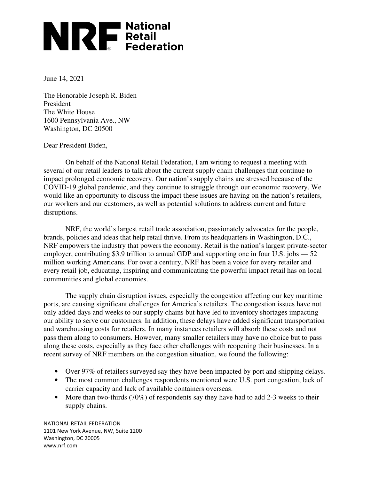## **NEXERCITES**<br>
Retail<br>
Federation

June 14, 2021

The Honorable Joseph R. Biden President The White House 1600 Pennsylvania Ave., NW Washington, DC 20500

Dear President Biden,

 On behalf of the National Retail Federation, I am writing to request a meeting with several of our retail leaders to talk about the current supply chain challenges that continue to impact prolonged economic recovery. Our nation's supply chains are stressed because of the COVID-19 global pandemic, and they continue to struggle through our economic recovery. We would like an opportunity to discuss the impact these issues are having on the nation's retailers, our workers and our customers, as well as potential solutions to address current and future disruptions.

 NRF, the world's largest retail trade association, passionately advocates for the people, brands, policies and ideas that help retail thrive. From its headquarters in Washington, D.C., NRF empowers the industry that powers the economy. Retail is the nation's largest private-sector employer, contributing \$3.9 trillion to annual GDP and supporting one in four U.S. jobs  $-52$ million working Americans. For over a century, NRF has been a voice for every retailer and every retail job, educating, inspiring and communicating the powerful impact retail has on local communities and global economies.

The supply chain disruption issues, especially the congestion affecting our key maritime ports, are causing significant challenges for America's retailers. The congestion issues have not only added days and weeks to our supply chains but have led to inventory shortages impacting our ability to serve our customers. In addition, these delays have added significant transportation and warehousing costs for retailers. In many instances retailers will absorb these costs and not pass them along to consumers. However, many smaller retailers may have no choice but to pass along these costs, especially as they face other challenges with reopening their businesses. In a recent survey of NRF members on the congestion situation, we found the following:

- Over 97% of retailers surveyed say they have been impacted by port and shipping delays.
- The most common challenges respondents mentioned were U.S. port congestion, lack of carrier capacity and lack of available containers overseas.
- More than two-thirds (70%) of respondents say they have had to add 2-3 weeks to their supply chains.

NATIONAL RETAIL FEDERATION 1101 New York Avenue, NW, Suite 1200 Washington, DC 20005 www.nrf.com